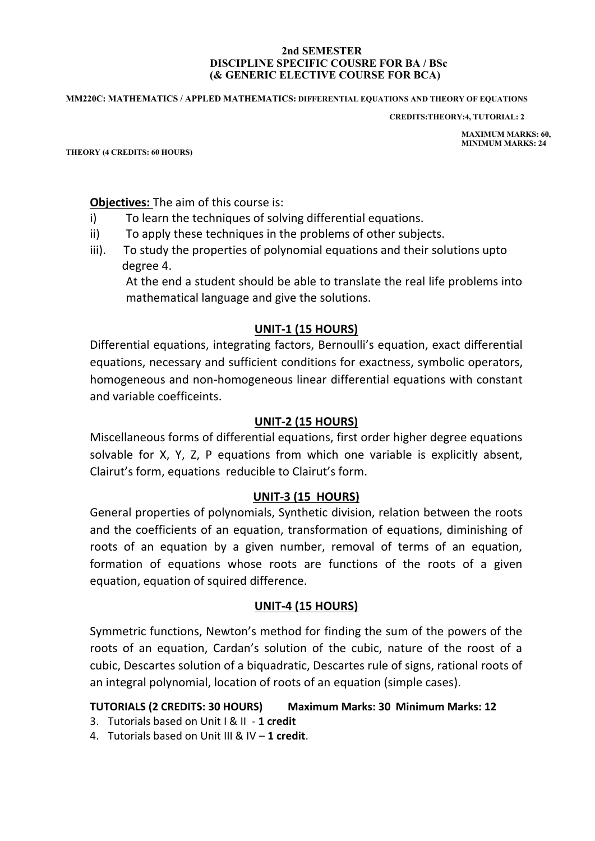#### **2nd SEMESTER DISCIPLINE SPECIFIC COUSRE FOR BA / BSc (& GENERIC ELECTIVE COURSE FOR BCA)**

#### **MM220C: MATHEMATICS / APPLED MATHEMATICS: DIFFERENTIAL EQUATIONS AND THEORY OF EQUATIONS**

 **CREDITS:THEORY:4, TUTORIAL: 2**

 **MAXIMUM MARKS: 60, MINIMUM MARKS: 24**

**THEORY (4 CREDITS: 60 HOURS)**

**Objectives:** The aim of this course is:

- i) To learn the techniques of solving differential equations.
- ii) To apply these techniques in the problems of other subjects.
- iii). To study the properties of polynomial equations and their solutions upto degree 4.

At the end a student should be able to translate the real life problems into mathematical language and give the solutions.

## **UNIT-1 (15 HOURS)**

Differential equations, integrating factors, Bernoulli's equation, exact differential equations, necessary and sufficient conditions for exactness, symbolic operators, homogeneous and non-homogeneous linear differential equations with constant and variable coefficeints.

## **UNIT-2 (15 HOURS)**

Miscellaneous forms of differential equations, first order higher degree equations solvable for X, Y, Z, P equations from which one variable is explicitly absent, Clairut's form, equations reducible to Clairut's form.

## **UNIT-3 (15 HOURS)**

General properties of polynomials, Synthetic division, relation between the roots and the coefficients of an equation, transformation of equations, diminishing of roots of an equation by a given number, removal of terms of an equation, formation of equations whose roots are functions of the roots of a given equation, equation of squired difference.

#### **UNIT-4 (15 HOURS)**

Symmetric functions, Newton's method for finding the sum of the powers of the roots of an equation, Cardan's solution of the cubic, nature of the roost of a cubic, Descartes solution of a biquadratic, Descartes rule of signs, rational roots of an integral polynomial, location of roots of an equation (simple cases).

## **TUTORIALS (2 CREDITS: 30 HOURS) Maximum Marks: 30 Minimum Marks: 12**

- 3. Tutorials based on Unit I & II **1 credit**
- 4. Tutorials based on Unit III & IV **1 credit**.